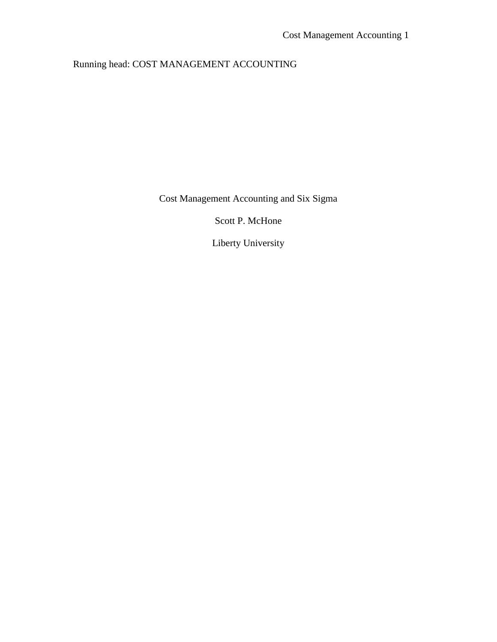## Running head: COST MANAGEMENT ACCOUNTING

Cost Management Accounting and Six Sigma

Scott P. McHone

Liberty University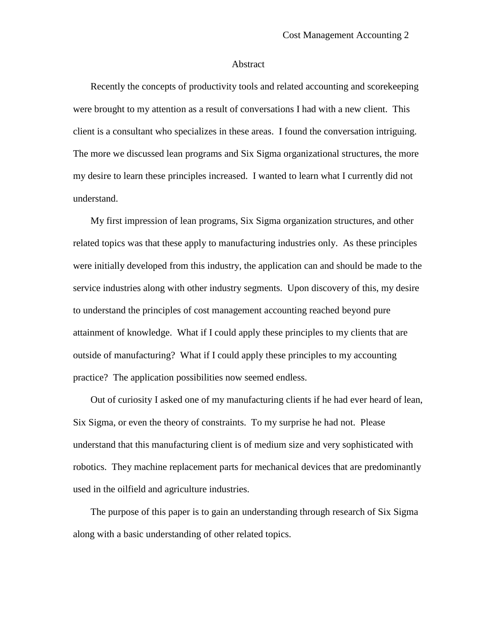## Abstract

Recently the concepts of productivity tools and related accounting and scorekeeping were brought to my attention as a result of conversations I had with a new client. This client is a consultant who specializes in these areas. I found the conversation intriguing. The more we discussed lean programs and Six Sigma organizational structures, the more my desire to learn these principles increased. I wanted to learn what I currently did not understand.

My first impression of lean programs, Six Sigma organization structures, and other related topics was that these apply to manufacturing industries only. As these principles were initially developed from this industry, the application can and should be made to the service industries along with other industry segments. Upon discovery of this, my desire to understand the principles of cost management accounting reached beyond pure attainment of knowledge. What if I could apply these principles to my clients that are outside of manufacturing? What if I could apply these principles to my accounting practice? The application possibilities now seemed endless.

Out of curiosity I asked one of my manufacturing clients if he had ever heard of lean, Six Sigma, or even the theory of constraints. To my surprise he had not. Please understand that this manufacturing client is of medium size and very sophisticated with robotics. They machine replacement parts for mechanical devices that are predominantly used in the oilfield and agriculture industries.

The purpose of this paper is to gain an understanding through research of Six Sigma along with a basic understanding of other related topics.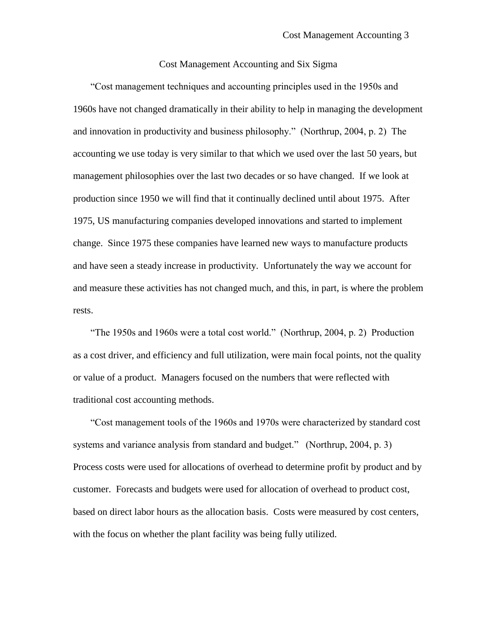## Cost Management Accounting and Six Sigma

"Cost management techniques and accounting principles used in the 1950s and 1960s have not changed dramatically in their ability to help in managing the development and innovation in productivity and business philosophy." (Northrup, 2004, p. 2) The accounting we use today is very similar to that which we used over the last 50 years, but management philosophies over the last two decades or so have changed. If we look at production since 1950 we will find that it continually declined until about 1975. After 1975, US manufacturing companies developed innovations and started to implement change. Since 1975 these companies have learned new ways to manufacture products and have seen a steady increase in productivity. Unfortunately the way we account for and measure these activities has not changed much, and this, in part, is where the problem rests.

"The 1950s and 1960s were a total cost world." (Northrup, 2004, p. 2) Production as a cost driver, and efficiency and full utilization, were main focal points, not the quality or value of a product. Managers focused on the numbers that were reflected with traditional cost accounting methods.

"Cost management tools of the 1960s and 1970s were characterized by standard cost systems and variance analysis from standard and budget." (Northrup, 2004, p. 3) Process costs were used for allocations of overhead to determine profit by product and by customer. Forecasts and budgets were used for allocation of overhead to product cost, based on direct labor hours as the allocation basis. Costs were measured by cost centers, with the focus on whether the plant facility was being fully utilized.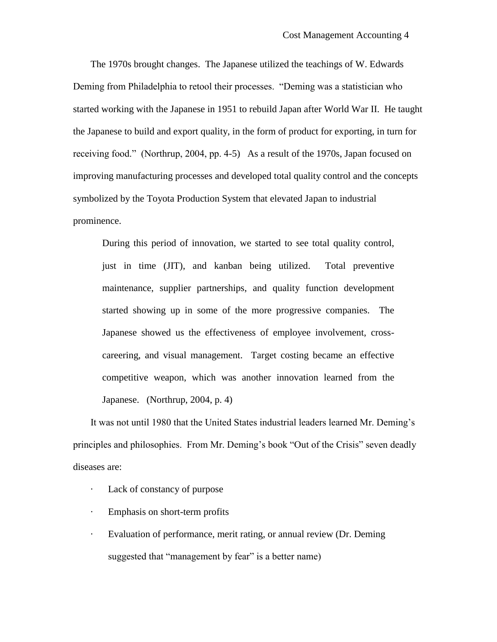The 1970s brought changes. The Japanese utilized the teachings of W. Edwards Deming from Philadelphia to retool their processes. "Deming was a statistician who started working with the Japanese in 1951 to rebuild Japan after World War II. He taught the Japanese to build and export quality, in the form of product for exporting, in turn for receiving food." (Northrup, 2004, pp. 4-5) As a result of the 1970s, Japan focused on improving manufacturing processes and developed total quality control and the concepts symbolized by the Toyota Production System that elevated Japan to industrial prominence.

During this period of innovation, we started to see total quality control, just in time (JIT), and kanban being utilized. Total preventive maintenance, supplier partnerships, and quality function development started showing up in some of the more progressive companies. The Japanese showed us the effectiveness of employee involvement, crosscareering, and visual management. Target costing became an effective competitive weapon, which was another innovation learned from the Japanese. (Northrup, 2004, p. 4)

It was not until 1980 that the United States industrial leaders learned Mr. Deming's principles and philosophies. From Mr. Deming's book "Out of the Crisis" seven deadly diseases are:

- · Lack of constancy of purpose
- · Emphasis on short-term profits
- · Evaluation of performance, merit rating, or annual review (Dr. Deming suggested that "management by fear" is a better name)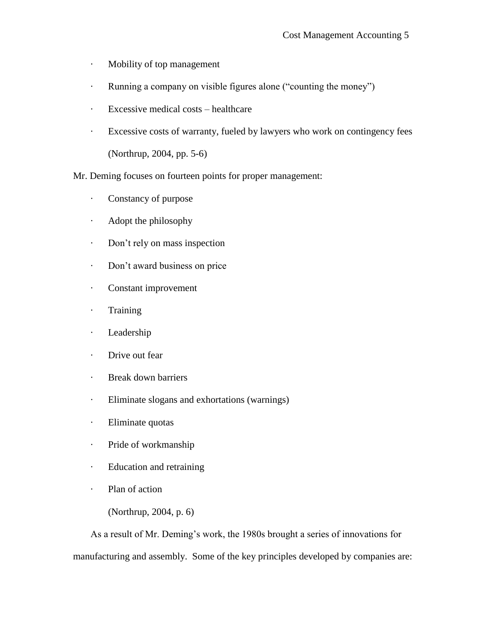- · Mobility of top management
- · Running a company on visible figures alone ("counting the money")
- · Excessive medical costs healthcare
- · Excessive costs of warranty, fueled by lawyers who work on contingency fees (Northrup, 2004, pp. 5-6)
- Mr. Deming focuses on fourteen points for proper management:
	- · Constancy of purpose
	- · Adopt the philosophy
	- · Don't rely on mass inspection
	- · Don't award business on price
	- · Constant improvement
	- · Training
	- · Leadership
	- · Drive out fear
	- · Break down barriers
	- · Eliminate slogans and exhortations (warnings)
	- · Eliminate quotas
	- · Pride of workmanship
	- · Education and retraining
	- · Plan of action
		- (Northrup, 2004, p. 6)

As a result of Mr. Deming's work, the 1980s brought a series of innovations for manufacturing and assembly. Some of the key principles developed by companies are: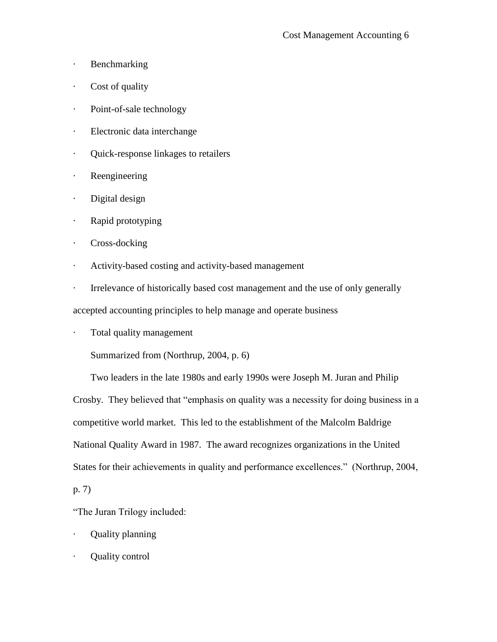- · Benchmarking
- · Cost of quality
- · Point-of-sale technology
- · Electronic data interchange
- · Quick-response linkages to retailers
- · Reengineering
- · Digital design
- · Rapid prototyping
- · Cross-docking
- · Activity-based costing and activity-based management
- · Irrelevance of historically based cost management and the use of only generally

accepted accounting principles to help manage and operate business

· Total quality management

Summarized from (Northrup, 2004, p. 6)

Two leaders in the late 1980s and early 1990s were Joseph M. Juran and Philip Crosby. They believed that "emphasis on quality was a necessity for doing business in a competitive world market. This led to the establishment of the Malcolm Baldrige National Quality Award in 1987. The award recognizes organizations in the United States for their achievements in quality and performance excellences." (Northrup, 2004,

p. 7)

"The Juran Trilogy included:

- · Quality planning
- · Quality control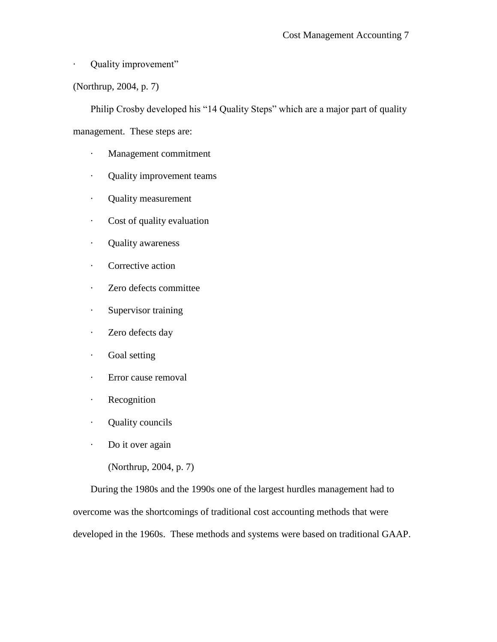- · Quality improvement"
- (Northrup, 2004, p. 7)

Philip Crosby developed his "14 Quality Steps" which are a major part of quality

management. These steps are:

- · Management commitment
- · Quality improvement teams
- · Quality measurement
- · Cost of quality evaluation
- · Quality awareness
- · Corrective action
- · Zero defects committee
- · Supervisor training
- · Zero defects day
- · Goal setting
- · Error cause removal
- · Recognition
- · Quality councils
- · Do it over again
	- (Northrup, 2004, p. 7)

During the 1980s and the 1990s one of the largest hurdles management had to overcome was the shortcomings of traditional cost accounting methods that were developed in the 1960s. These methods and systems were based on traditional GAAP.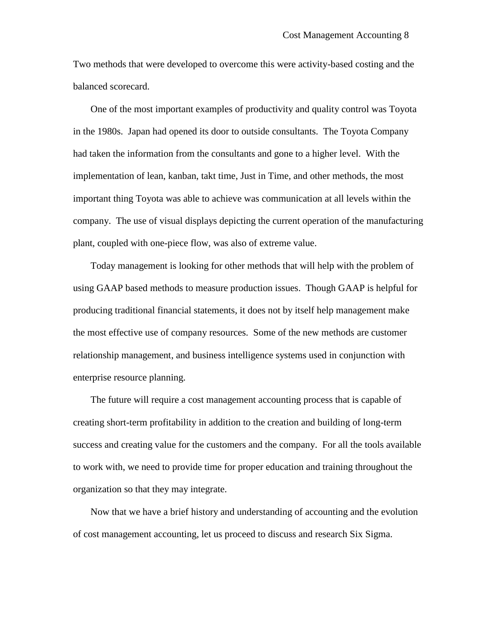Two methods that were developed to overcome this were activity-based costing and the balanced scorecard.

One of the most important examples of productivity and quality control was Toyota in the 1980s. Japan had opened its door to outside consultants. The Toyota Company had taken the information from the consultants and gone to a higher level. With the implementation of lean, kanban, takt time, Just in Time, and other methods, the most important thing Toyota was able to achieve was communication at all levels within the company. The use of visual displays depicting the current operation of the manufacturing plant, coupled with one-piece flow, was also of extreme value.

Today management is looking for other methods that will help with the problem of using GAAP based methods to measure production issues. Though GAAP is helpful for producing traditional financial statements, it does not by itself help management make the most effective use of company resources. Some of the new methods are customer relationship management, and business intelligence systems used in conjunction with enterprise resource planning.

The future will require a cost management accounting process that is capable of creating short-term profitability in addition to the creation and building of long-term success and creating value for the customers and the company. For all the tools available to work with, we need to provide time for proper education and training throughout the organization so that they may integrate.

Now that we have a brief history and understanding of accounting and the evolution of cost management accounting, let us proceed to discuss and research Six Sigma.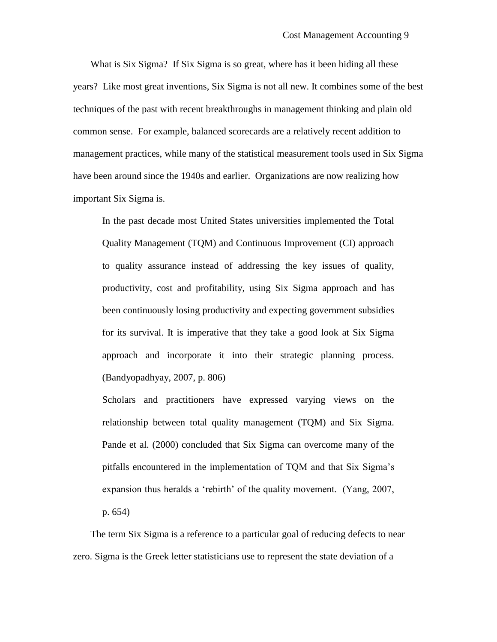What is Six Sigma? If Six Sigma is so great, where has it been hiding all these years? Like most great inventions, Six Sigma is not all new. It combines some of the best techniques of the past with recent breakthroughs in management thinking and plain old common sense. For example, balanced scorecards are a relatively recent addition to management practices, while many of the statistical measurement tools used in Six Sigma have been around since the 1940s and earlier. Organizations are now realizing how important Six Sigma is.

In the past decade most United States universities implemented the Total Quality Management (TQM) and Continuous Improvement (CI) approach to quality assurance instead of addressing the key issues of quality, productivity, cost and profitability, using Six Sigma approach and has been continuously losing productivity and expecting government subsidies for its survival. It is imperative that they take a good look at Six Sigma approach and incorporate it into their strategic planning process. (Bandyopadhyay, 2007, p. 806)

Scholars and practitioners have expressed varying views on the relationship between total quality management (TQM) and Six Sigma. Pande et al. (2000) concluded that Six Sigma can overcome many of the pitfalls encountered in the implementation of TQM and that Six Sigma's expansion thus heralds a 'rebirth' of the quality movement. (Yang, 2007, p. 654)

The term Six Sigma is a reference to a particular goal of reducing defects to near zero. Sigma is the Greek letter statisticians use to represent the state deviation of a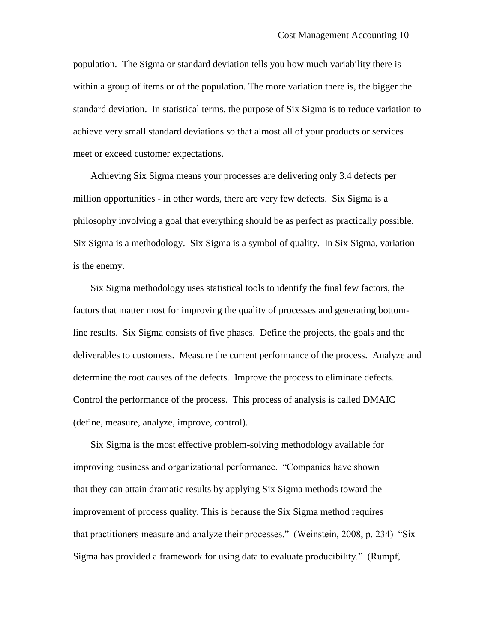population. The Sigma or standard deviation tells you how much variability there is within a group of items or of the population. The more variation there is, the bigger the standard deviation. In statistical terms, the purpose of Six Sigma is to reduce variation to achieve very small standard deviations so that almost all of your products or services meet or exceed customer expectations.

Achieving Six Sigma means your processes are delivering only 3.4 defects per million opportunities - in other words, there are very few defects. Six Sigma is a philosophy involving a goal that everything should be as perfect as practically possible. Six Sigma is a methodology. Six Sigma is a symbol of quality. In Six Sigma, variation is the enemy.

Six Sigma methodology uses statistical tools to identify the final few factors, the factors that matter most for improving the quality of processes and generating bottomline results. Six Sigma consists of five phases. Define the projects, the goals and the deliverables to customers. Measure the current performance of the process. Analyze and determine the root causes of the defects. Improve the process to eliminate defects. Control the performance of the process. This process of analysis is called DMAIC (define, measure, analyze, improve, control).

Six Sigma is the most effective problem-solving methodology available for improving business and organizational performance. "Companies have shown that they can attain dramatic results by applying Six Sigma methods toward the improvement of process quality. This is because the Six Sigma method requires that practitioners measure and analyze their processes." (Weinstein, 2008, p. 234) "Six Sigma has provided a framework for using data to evaluate producibility." (Rumpf,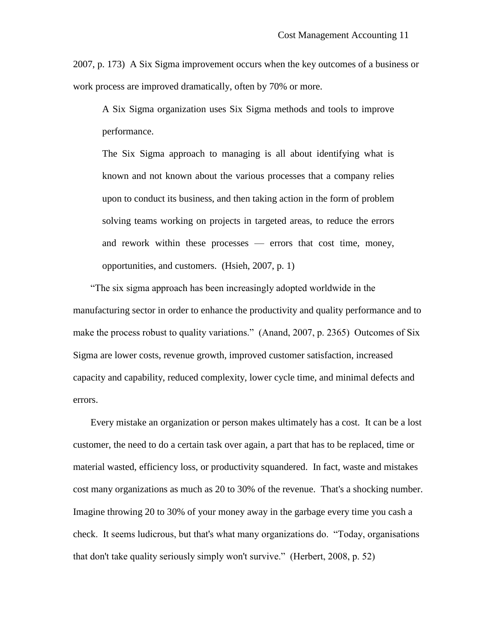2007, p. 173) A Six Sigma improvement occurs when the key outcomes of a business or work process are improved dramatically, often by 70% or more.

A Six Sigma organization uses Six Sigma methods and tools to improve performance.

The Six Sigma approach to managing is all about identifying what is known and not known about the various processes that a company relies upon to conduct its business, and then taking action in the form of problem solving teams working on projects in targeted areas, to reduce the errors and rework within these processes — errors that cost time, money, opportunities, and customers. (Hsieh, 2007, p. 1)

"The six sigma approach has been increasingly adopted worldwide in the manufacturing sector in order to enhance the productivity and quality performance and to make the process robust to quality variations." (Anand, 2007, p. 2365) Outcomes of Six Sigma are lower costs, revenue growth, improved customer satisfaction, increased capacity and capability, reduced complexity, lower cycle time, and minimal defects and errors.

Every mistake an organization or person makes ultimately has a cost. It can be a lost customer, the need to do a certain task over again, a part that has to be replaced, time or material wasted, efficiency loss, or productivity squandered. In fact, waste and mistakes cost many organizations as much as 20 to 30% of the revenue. That's a shocking number. Imagine throwing 20 to 30% of your money away in the garbage every time you cash a check. It seems ludicrous, but that's what many organizations do. "Today, organisations that don't take quality seriously simply won't survive." (Herbert, 2008, p. 52)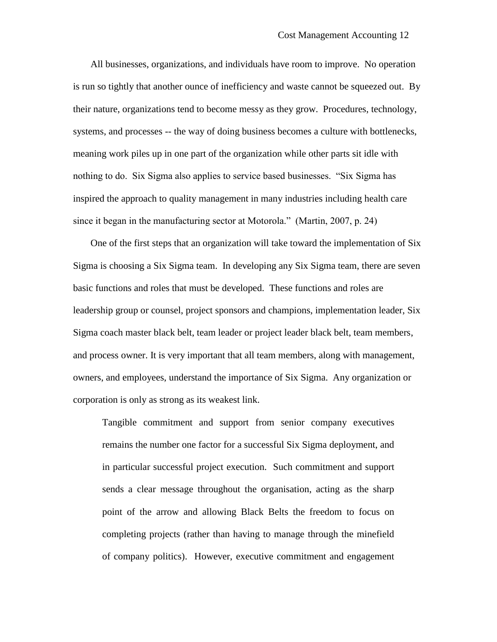All businesses, organizations, and individuals have room to improve. No operation is run so tightly that another ounce of inefficiency and waste cannot be squeezed out. By their nature, organizations tend to become messy as they grow. Procedures, technology, systems, and processes -- the way of doing business becomes a culture with bottlenecks, meaning work piles up in one part of the organization while other parts sit idle with nothing to do. Six Sigma also applies to service based businesses. "Six Sigma has inspired the approach to quality management in many industries including health care since it began in the manufacturing sector at Motorola." (Martin, 2007, p. 24)

One of the first steps that an organization will take toward the implementation of Six Sigma is choosing a Six Sigma team. In developing any Six Sigma team, there are seven basic functions and roles that must be developed. These functions and roles are leadership group or counsel, project sponsors and champions, implementation leader, Six Sigma coach master black belt, team leader or project leader black belt, team members, and process owner. It is very important that all team members, along with management, owners, and employees, understand the importance of Six Sigma. Any organization or corporation is only as strong as its weakest link.

Tangible commitment and support from senior company executives remains the number one factor for a successful Six Sigma deployment, and in particular successful project execution. Such commitment and support sends a clear message throughout the organisation, acting as the sharp point of the arrow and allowing Black Belts the freedom to focus on completing projects (rather than having to manage through the minefield of company politics). However, executive commitment and engagement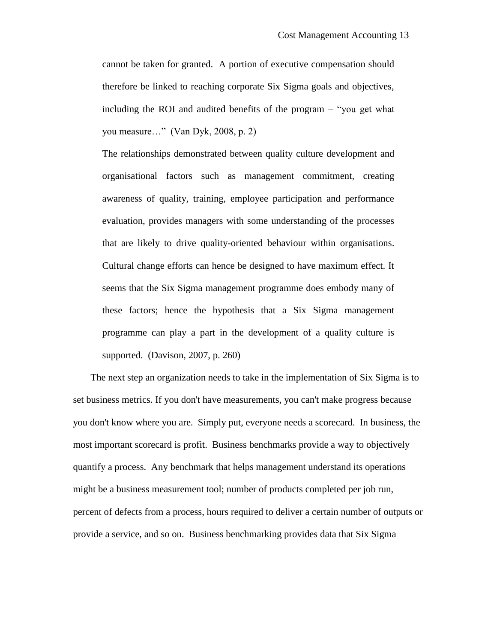cannot be taken for granted. A portion of executive compensation should therefore be linked to reaching corporate Six Sigma goals and objectives, including the ROI and audited benefits of the program – "you get what you measure…" (Van Dyk, 2008, p. 2)

The relationships demonstrated between quality culture development and organisational factors such as management commitment, creating awareness of quality, training, employee participation and performance evaluation, provides managers with some understanding of the processes that are likely to drive quality-oriented behaviour within organisations. Cultural change efforts can hence be designed to have maximum effect. It seems that the Six Sigma management programme does embody many of these factors; hence the hypothesis that a Six Sigma management programme can play a part in the development of a quality culture is supported. (Davison, 2007, p. 260)

The next step an organization needs to take in the implementation of Six Sigma is to set business metrics. If you don't have measurements, you can't make progress because you don't know where you are. Simply put, everyone needs a scorecard. In business, the most important scorecard is profit. Business benchmarks provide a way to objectively quantify a process. Any benchmark that helps management understand its operations might be a business measurement tool; number of products completed per job run, percent of defects from a process, hours required to deliver a certain number of outputs or provide a service, and so on. Business benchmarking provides data that Six Sigma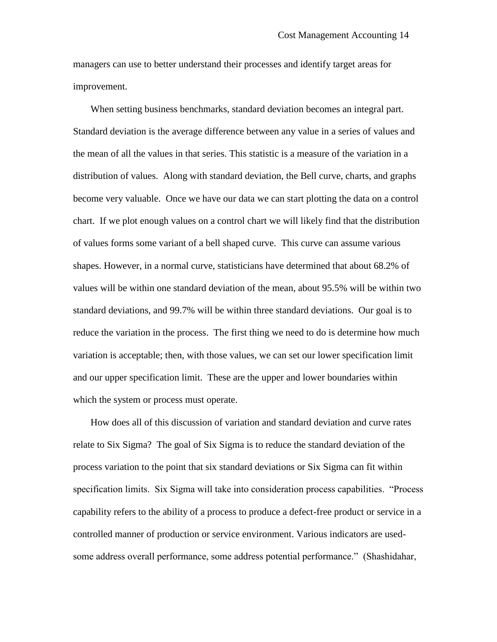managers can use to better understand their processes and identify target areas for improvement.

When setting business benchmarks, standard deviation becomes an integral part. Standard deviation is the average difference between any value in a series of values and the mean of all the values in that series. This statistic is a measure of the variation in a distribution of values. Along with standard deviation, the Bell curve, charts, and graphs become very valuable. Once we have our data we can start plotting the data on a control chart. If we plot enough values on a control chart we will likely find that the distribution of values forms some variant of a bell shaped curve. This curve can assume various shapes. However, in a normal curve, statisticians have determined that about 68.2% of values will be within one standard deviation of the mean, about 95.5% will be within two standard deviations, and 99.7% will be within three standard deviations. Our goal is to reduce the variation in the process. The first thing we need to do is determine how much variation is acceptable; then, with those values, we can set our lower specification limit and our upper specification limit. These are the upper and lower boundaries within which the system or process must operate.

How does all of this discussion of variation and standard deviation and curve rates relate to Six Sigma? The goal of Six Sigma is to reduce the standard deviation of the process variation to the point that six standard deviations or Six Sigma can fit within specification limits. Six Sigma will take into consideration process capabilities. "Process capability refers to the ability of a process to produce a defect-free product or service in a controlled manner of production or service environment. Various indicators are usedsome address overall performance, some address potential performance." (Shashidahar,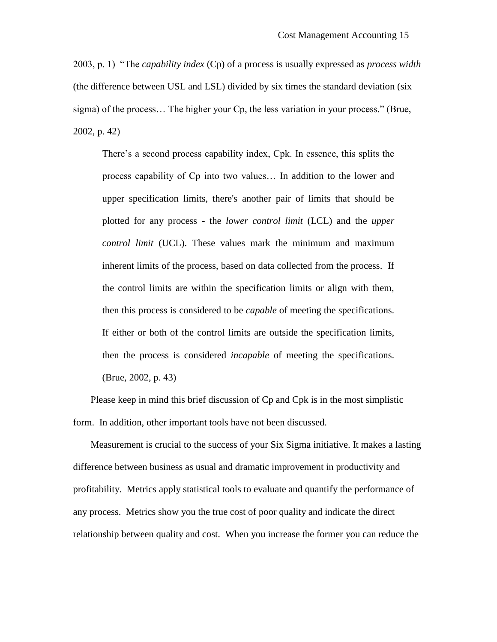2003, p. 1) "The *capability index* (Cp) of a process is usually expressed as *process width* (the difference between USL and LSL) divided by six times the standard deviation (six sigma) of the process… The higher your Cp, the less variation in your process." (Brue, 2002, p. 42)

There's a second process capability index, Cpk. In essence, this splits the process capability of Cp into two values… In addition to the lower and upper specification limits, there's another pair of limits that should be plotted for any process - the *lower control limit* (LCL) and the *upper control limit* (UCL). These values mark the minimum and maximum inherent limits of the process, based on data collected from the process. If the control limits are within the specification limits or align with them, then this process is considered to be *capable* of meeting the specifications. If either or both of the control limits are outside the specification limits, then the process is considered *incapable* of meeting the specifications. (Brue, 2002, p. 43)

Please keep in mind this brief discussion of Cp and Cpk is in the most simplistic form. In addition, other important tools have not been discussed.

Measurement is crucial to the success of your Six Sigma initiative. It makes a lasting difference between business as usual and dramatic improvement in productivity and profitability. Metrics apply statistical tools to evaluate and quantify the performance of any process. Metrics show you the true cost of poor quality and indicate the direct relationship between quality and cost. When you increase the former you can reduce the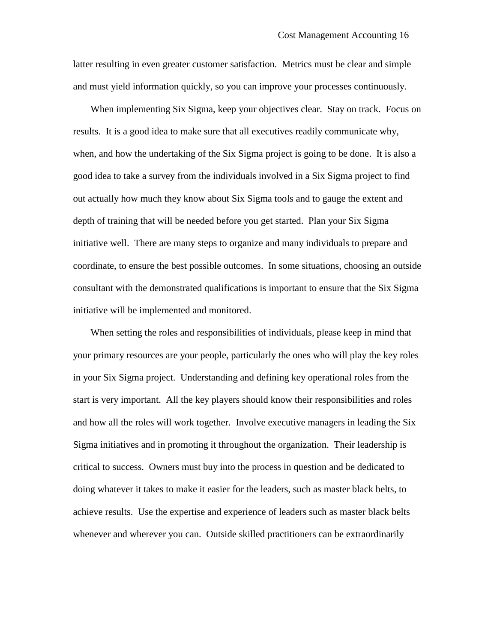latter resulting in even greater customer satisfaction. Metrics must be clear and simple and must yield information quickly, so you can improve your processes continuously.

When implementing Six Sigma, keep your objectives clear. Stay on track. Focus on results. It is a good idea to make sure that all executives readily communicate why, when, and how the undertaking of the Six Sigma project is going to be done. It is also a good idea to take a survey from the individuals involved in a Six Sigma project to find out actually how much they know about Six Sigma tools and to gauge the extent and depth of training that will be needed before you get started. Plan your Six Sigma initiative well. There are many steps to organize and many individuals to prepare and coordinate, to ensure the best possible outcomes. In some situations, choosing an outside consultant with the demonstrated qualifications is important to ensure that the Six Sigma initiative will be implemented and monitored.

When setting the roles and responsibilities of individuals, please keep in mind that your primary resources are your people, particularly the ones who will play the key roles in your Six Sigma project. Understanding and defining key operational roles from the start is very important. All the key players should know their responsibilities and roles and how all the roles will work together. Involve executive managers in leading the Six Sigma initiatives and in promoting it throughout the organization. Their leadership is critical to success. Owners must buy into the process in question and be dedicated to doing whatever it takes to make it easier for the leaders, such as master black belts, to achieve results. Use the expertise and experience of leaders such as master black belts whenever and wherever you can. Outside skilled practitioners can be extraordinarily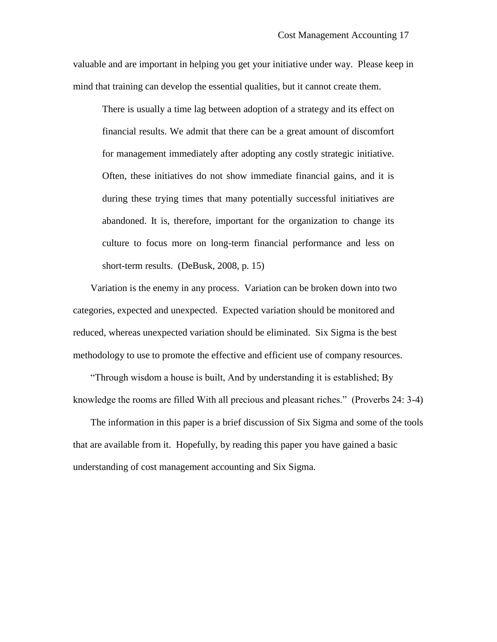valuable and are important in helping you get your initiative under way. Please keep in mind that training can develop the essential qualities, but it cannot create them.

There is usually a time lag between adoption of a strategy and its effect on financial results. We admit that there can be a great amount of discomfort for management immediately after adopting any costly strategic initiative. Often, these initiatives do not show immediate financial gains, and it is during these trying times that many potentially successful initiatives are abandoned. It is, therefore, important for the organization to change its culture to focus more on long-term financial performance and less on short-term results. (DeBusk, 2008, p. 15)

Variation is the enemy in any process. Variation can be broken down into two categories, expected and unexpected. Expected variation should be monitored and reduced, whereas unexpected variation should be eliminated. Six Sigma is the best methodology to use to promote the effective and efficient use of company resources.

"Through wisdom a house is built, And by understanding it is established; By knowledge the rooms are filled With all precious and pleasant riches." (Proverbs 24: 3-4)

The information in this paper is a brief discussion of Six Sigma and some of the tools that are available from it. Hopefully, by reading this paper you have gained a basic understanding of cost management accounting and Six Sigma.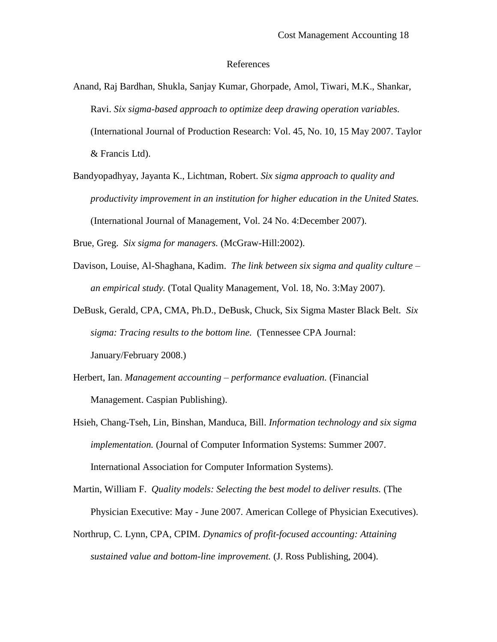## References

- Anand, Raj Bardhan, Shukla, Sanjay Kumar, Ghorpade, Amol, Tiwari, M.K., Shankar, Ravi. *Six sigma-based approach to optimize deep drawing operation variables.* (International Journal of Production Research: Vol. 45, No. 10, 15 May 2007. Taylor & Francis Ltd).
- Bandyopadhyay, Jayanta K., Lichtman, Robert. *Six sigma approach to quality and productivity improvement in an institution for higher education in the United States.* (International Journal of Management, Vol. 24 No. 4:December 2007).

Brue, Greg. *Six sigma for managers.* (McGraw-Hill:2002).

- Davison, Louise, Al-Shaghana, Kadim. *The link between six sigma and quality culture – an empirical study.* (Total Quality Management, Vol. 18, No. 3:May 2007).
- DeBusk, Gerald, CPA, CMA, Ph.D., DeBusk, Chuck, Six Sigma Master Black Belt. *Six sigma: Tracing results to the bottom line.* (Tennessee CPA Journal: January/February 2008.)
- Herbert, Ian. *Management accounting – performance evaluation.* (Financial Management. Caspian Publishing).
- Hsieh, Chang-Tseh, Lin, Binshan, Manduca, Bill. *Information technology and six sigma implementation.* (Journal of Computer Information Systems: Summer 2007. International Association for Computer Information Systems).

Martin, William F. *Quality models: Selecting the best model to deliver results.* (The Physician Executive: May - June 2007. American College of Physician Executives).

Northrup, C. Lynn, CPA, CPIM. *Dynamics of profit-focused accounting: Attaining sustained value and bottom-line improvement.* (J. Ross Publishing, 2004).